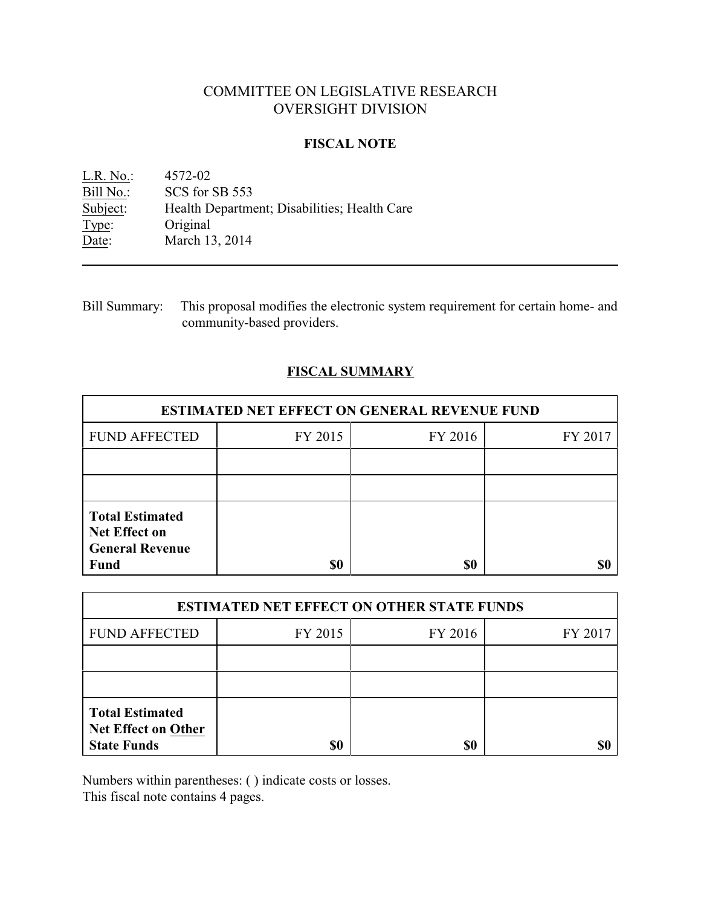# COMMITTEE ON LEGISLATIVE RESEARCH OVERSIGHT DIVISION

### **FISCAL NOTE**

<u>L.R. No.</u>: 4572-02<br>Bill No.: SCS for Bill No.: SCS for SB 553<br>Subject: Health Department Health Department; Disabilities; Health Care Type: Original Date: March 13, 2014

Bill Summary: This proposal modifies the electronic system requirement for certain home- and community-based providers.

# **FISCAL SUMMARY**

| <b>ESTIMATED NET EFFECT ON GENERAL REVENUE FUND</b>                                     |         |         |         |  |
|-----------------------------------------------------------------------------------------|---------|---------|---------|--|
| <b>FUND AFFECTED</b>                                                                    | FY 2015 | FY 2016 | FY 2017 |  |
|                                                                                         |         |         |         |  |
|                                                                                         |         |         |         |  |
| <b>Total Estimated</b><br><b>Net Effect on</b><br><b>General Revenue</b><br><b>Fund</b> | \$0     | \$0     |         |  |

| <b>ESTIMATED NET EFFECT ON OTHER STATE FUNDS</b>                           |         |         |         |  |
|----------------------------------------------------------------------------|---------|---------|---------|--|
| <b>FUND AFFECTED</b>                                                       | FY 2015 | FY 2016 | FY 2017 |  |
|                                                                            |         |         |         |  |
|                                                                            |         |         |         |  |
| <b>Total Estimated</b><br><b>Net Effect on Other</b><br><b>State Funds</b> | \$0     | \$0     |         |  |

Numbers within parentheses: ( ) indicate costs or losses.

This fiscal note contains 4 pages.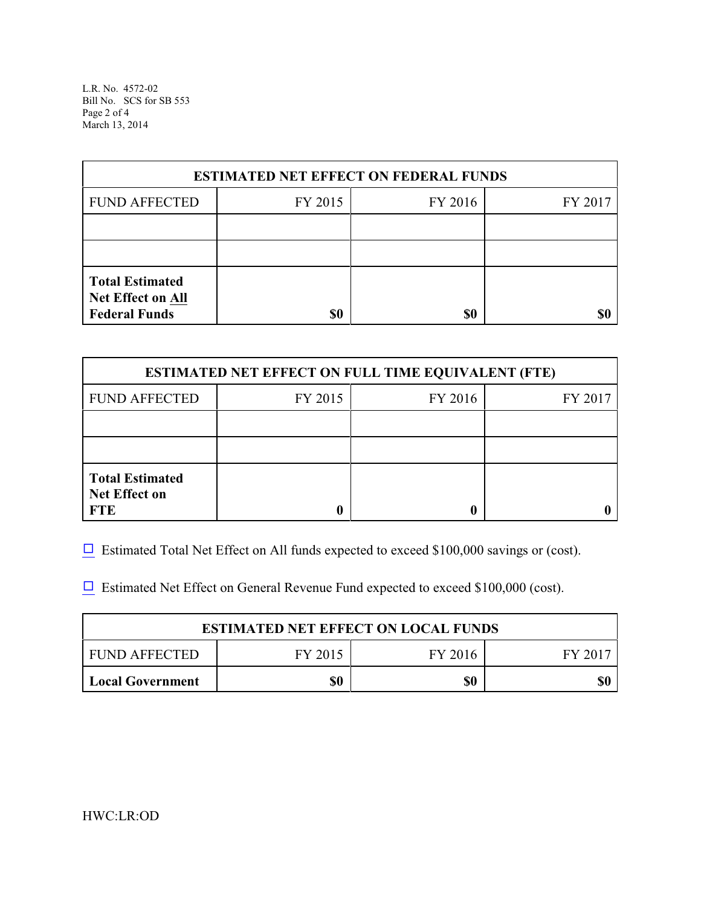L.R. No. 4572-02 Bill No. SCS for SB 553 Page 2 of 4 March 13, 2014

| <b>ESTIMATED NET EFFECT ON FEDERAL FUNDS</b>                        |         |         |         |  |
|---------------------------------------------------------------------|---------|---------|---------|--|
| <b>FUND AFFECTED</b>                                                | FY 2015 | FY 2016 | FY 2017 |  |
|                                                                     |         |         |         |  |
|                                                                     |         |         |         |  |
| <b>Total Estimated</b><br>Net Effect on All<br><b>Federal Funds</b> | \$0     | \$0     | \$0     |  |

| <b>ESTIMATED NET EFFECT ON FULL TIME EQUIVALENT (FTE)</b>    |         |         |         |  |
|--------------------------------------------------------------|---------|---------|---------|--|
| <b>FUND AFFECTED</b>                                         | FY 2015 | FY 2016 | FY 2017 |  |
|                                                              |         |         |         |  |
|                                                              |         |         |         |  |
| <b>Total Estimated</b><br><b>Net Effect on</b><br><b>FTE</b> |         |         |         |  |

 $\Box$  Estimated Total Net Effect on All funds expected to exceed \$100,000 savings or (cost).

 $\Box$  Estimated Net Effect on General Revenue Fund expected to exceed \$100,000 (cost).

| <b>ESTIMATED NET EFFECT ON LOCAL FUNDS</b> |         |         |       |  |
|--------------------------------------------|---------|---------|-------|--|
| FUND AFFECTED                              | FY 2015 | FY 2016 | FV 20 |  |
| <b>Local Government</b>                    | \$0     | \$0     |       |  |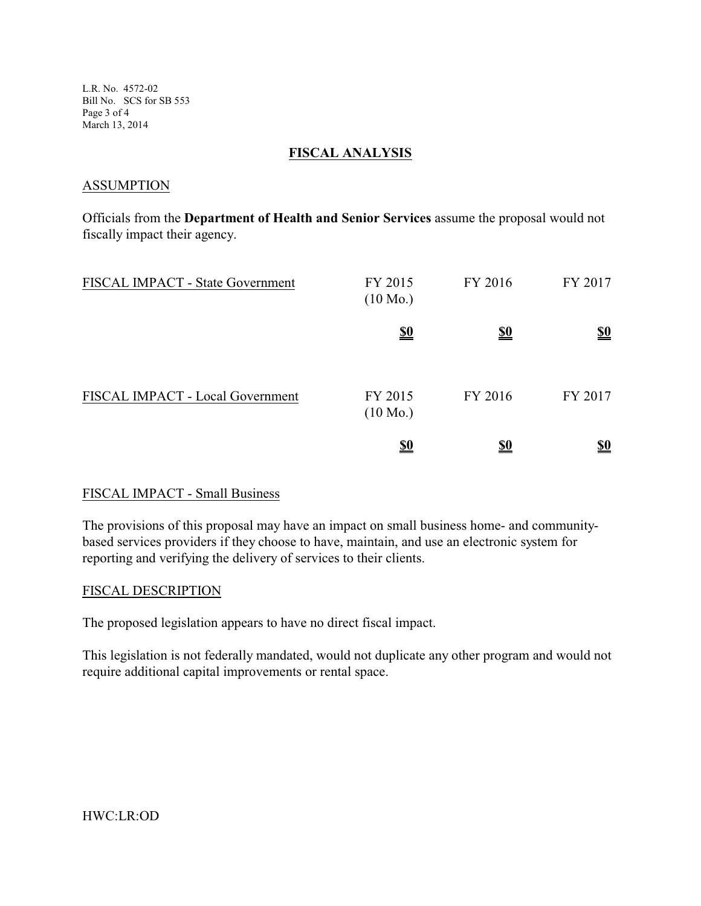L.R. No. 4572-02 Bill No. SCS for SB 553 Page 3 of 4 March 13, 2014

### **FISCAL ANALYSIS**

## **ASSUMPTION**

Officials from the **Department of Health and Senior Services** assume the proposal would not fiscally impact their agency.

| FISCAL IMPACT - State Government | FY 2015<br>$(10 \text{ Mo.})$ | FY 2016    | FY 2017    |
|----------------------------------|-------------------------------|------------|------------|
|                                  | <u>\$0</u>                    | <u>\$0</u> | <u>\$0</u> |
| FISCAL IMPACT - Local Government | FY 2015<br>$(10 \text{ Mo.})$ | FY 2016    | FY 2017    |
|                                  | <u>\$0</u>                    | <u>\$0</u> | <u>\$0</u> |

# FISCAL IMPACT - Small Business

The provisions of this proposal may have an impact on small business home- and communitybased services providers if they choose to have, maintain, and use an electronic system for reporting and verifying the delivery of services to their clients.

### FISCAL DESCRIPTION

The proposed legislation appears to have no direct fiscal impact.

This legislation is not federally mandated, would not duplicate any other program and would not require additional capital improvements or rental space.